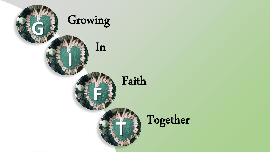

Together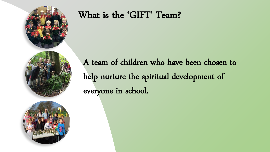

#### What is the 'GIFT' Team?

A team of children who have been chosen to help nurture the spiritual development of everyone in school.

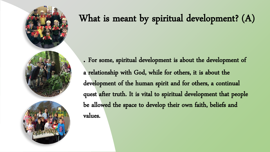

# What is meant by spiritual development? (A)

. For some, spiritual development is about the development of a relationship with God, while for others, it is about the development of the human spirit and for others, a continual quest after truth. It is vital to spiritual development that people be allowed the space to develop their own faith, beliefs and values.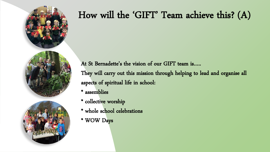

At St Bernadette's the vision of our GIFT team is….. They will carry out this mission through helping to lead and organise all aspects of spiritual life in school:

- \* assemblies
- \* collective worship
- \* whole school celebrations
- \* WOW Days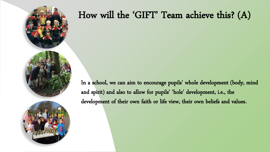

In a school, we can aim to encourage pupils' whole development (body, mind and spirit) and also to allow for pupils' 'hole' development, i.e., the development of their own faith or life view, their own beliefs and values.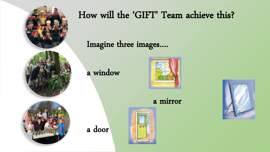

Imagine three images….

a window

a door



a mirror



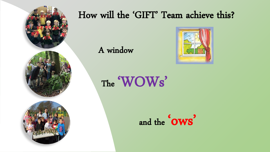

I

### How will the 'GIFT' Team achieve this?

A window



The 'WOWs'

and the same same state  $\frac{1}{2}$ ' ows '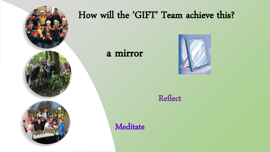

#### a mirror

 $\overline{\phantom{0}}$ 



#### Reflect

**Meditate**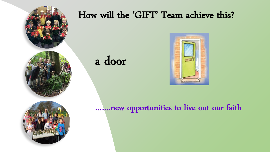

a door

ľ



…….new opportunities to live out our faith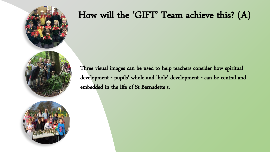

Three visual images can be used to help teachers consider how spiritual development - pupils' whole and 'hole' development - can be central and embedded in the life of St Bernadette's.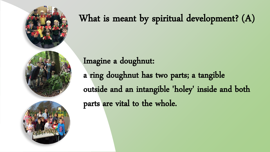

# What is meant by spiritual development? (A)

Imagine a doughnut:

a ring doughnut has two parts; a tangible outside and an intangible 'holey' inside and both parts are vital to the whole.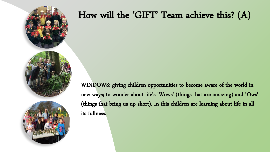

WINDOWS: giving children opportunities to become aware of the world in new ways; to wonder about life's 'Wows' (things that are amazing) and 'Ows' (things that bring us up short). In this children are learning about life in all its fullness.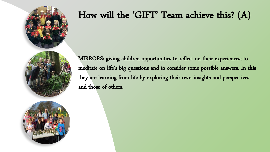

MIRRORS: giving children opportunities to reflect on their experiences; to meditate on life's big questions and to consider some possible answers. In this they are learning from life by exploring their own insights and perspectives and those of others.